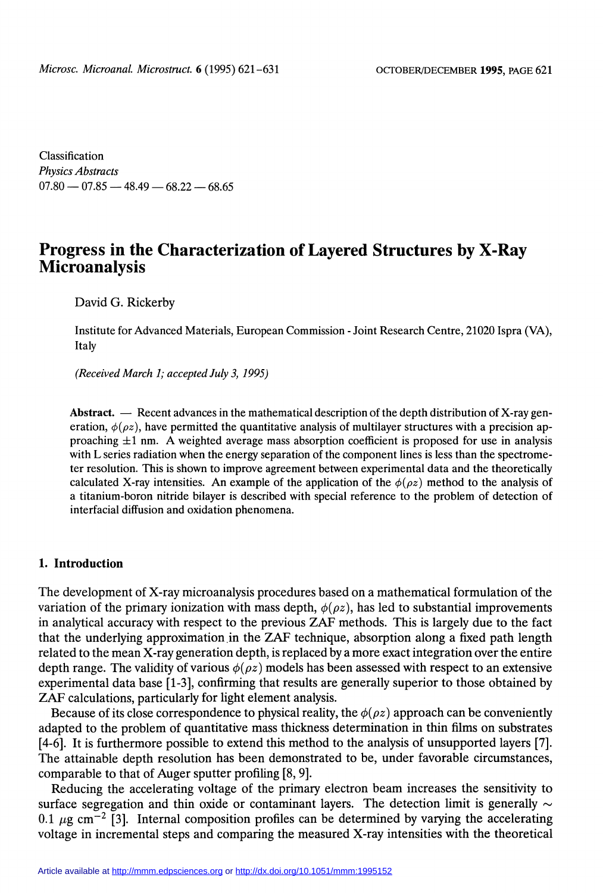Classification Physics Abstracts  $07.80 - 07.85 - 48.49 - 68.22 - 68.65$ 

# Progress in the Characterization of Layered Structures by X-Ray Microanalysis

David G. Rickerby

Institute for Advanced Materials, European Commission - Joint Research Centre, 21020 Ispra (VA), Italy

(Received March 1; accepted July 3, 1995)

Abstract.  $\overline{\phantom{a}}$  Recent advances in the mathematical description of the depth distribution of X-ray generation,  $\phi(\rho z)$ , have permitted the quantitative analysis of multilayer structures with a precision approaching  $\pm 1$  nm. A weighted average mass absorption coefficient is proposed for use in analysis with L series radiation when the energy separation of the component lines is less than the spectrome ter resolution. This is shown to improve agreement between experimental data and the theoretically calculated X-ray intensities. An example of the application of the  $\phi(\rho z)$  method to the analysis of a titanium-boron nitride bilayer is described with special reference to the problem of detection of interfacial diffusion and oxidation phenomena.

#### 1. Introduction

The development of X-ray microanalysis procedures based on a mathematical formulation of the variation of the primary ionization with mass depth,  $\phi(\rho z)$ , has led to substantial improvements in analytical accuracy with respect to the previous ZAF methods. This is largely due to the fact that the underlying approximation.in the ZAF technique, absorption along a fixed path length related to the mean X-ray generation depth, is replaced by a more exact integration over the entire depth range. The validity of various  $\phi(\rho z)$  models has been assessed with respect to an extensive experimental data base [1-3], confirming that results are generally superior to those obtained by ZAF calculations, particularly for light element analysis.

Because of its close correspondence to physical reality, the  $\phi(\rho z)$  approach can be conveniently adapted to the problem of quantitative mass thickness determination in thin films on substrates [4-6]. It is furthermore possible to extend this method to the analysis of unsupported layers [7]. The attainable depth resolution has been demonstrated to be, under favorable circumstances, comparable to that of Auger sputter profiling [8, 9].

Reducing the accelerating voltage of the primary electron beam increases the sensitivity to surface segregation and thin oxide or contaminant layers. The detection limit is generally  $\sim$ 0.1  $\mu$ g cm<sup>-2</sup> [3]. Internal composition profiles can be determined by varying the accelerating voltage in incremental steps and comparing the measured X-ray intensities with the theoretical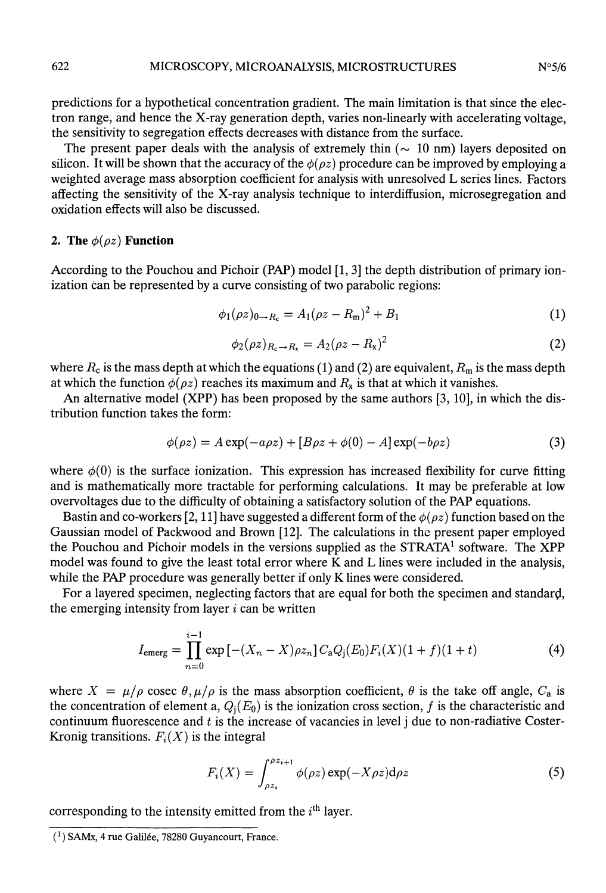predictions for a hypothetical concentration gradient. The main limitation is that since the electron range, and hence the X-ray generation depth, varies non-linearly with accelerating voltage, the sensitivity to segregation effects decreases with distance from the surface.

The present paper deals with the analysis of extremely thin  $(\sim 10 \text{ nm})$  layers deposited on silicon. It will be shown that the accuracy of the  $\phi(\rho z)$  procedure can be improved by employing a weighted average mass absorption coefficient for analysis with unresolved L series lines. Factors affecting the sensitivity of the X-ray analysis technique to interdiffusion, microsegregation and oxidation effects will also be discussed.

## 2. The  $\phi(\rho z)$  Function

According to the Pouchou and Pichoir (PAP) model [1, 3] the depth distribution of primary ionization can be represented by a curve consisting of two parabolic regions:

$$
\phi_1(\rho z)_{0 \to R_c} = A_1(\rho z - R_m)^2 + B_1 \tag{1}
$$

$$
\phi_2(\rho z)_{R_c \to R_x} = A_2(\rho z - R_x)^2 \tag{2}
$$

where  $R_c$  is the mass depth at which the equations (1) and (2) are equivalent,  $R_m$  is the mass depth at which the function  $\phi(\rho z)$  reaches its maximum and  $R_x$  is that at which it vanishes.

An alternative model (XPP) has been proposed by the same authors [3, 10], in which the distribution function takes the form:

$$
\phi(\rho z) = A \exp(-a\rho z) + [B\rho z + \phi(0) - A] \exp(-b\rho z)
$$
\n(3)

where  $\phi(0)$  is the surface ionization. This expression has increased flexibility for curve fitting and is mathematically more tractable for performing calculations. It may be preferable at low overvoltages due to the difficulty of obtaining a satisfactory solution of the PAP equations.

Bastin and co-workers [2, 11] have suggested a different form of the  $\phi(\rho z)$  function based on the Gaussian model of Packwood and Brown [12]. The calculations in the present paper employed the Pouchou and Pichoir models in the versions supplied as the  $\text{STRATA}^1$  software. The XPP model was found to give the least total error where K and L lines were included in the analysis, while the PAP procedure was generally better if only K lines were considered.

For a layered specimen, neglecting factors that are equal for both the specimen and standard, the emerging intensity from layer  $i$  can be written

$$
I_{\text{emerg}} = \prod_{n=0}^{i-1} \exp\left[-(X_n - X)\rho z_n\right] C_a Q_j(E_0) F_i(X) (1+f)(1+t) \tag{4}
$$

where  $X = \mu/\rho$  cosec  $\theta, \mu/\rho$  is the mass absorption coefficient,  $\theta$  is the take off angle,  $C_a$  is the concentration of element a,  $Q_i(E_0)$  is the ionization cross section, f is the characteristic and continuum fluorescence and  $t$  is the increase of vacancies in level j due to non-radiative Coster-Kronig transitions.  $F_i(X)$  is the integral

$$
F_i(X) = \int_{\rho z_i}^{\rho z_{i+1}} \phi(\rho z) \exp(-X \rho z) d\rho z \tag{5}
$$

corresponding to the intensity emitted from the  $i<sup>th</sup>$  layer.

 $(1)$  SAMx, 4 rue Galilée, 78280 Guyancourt, France.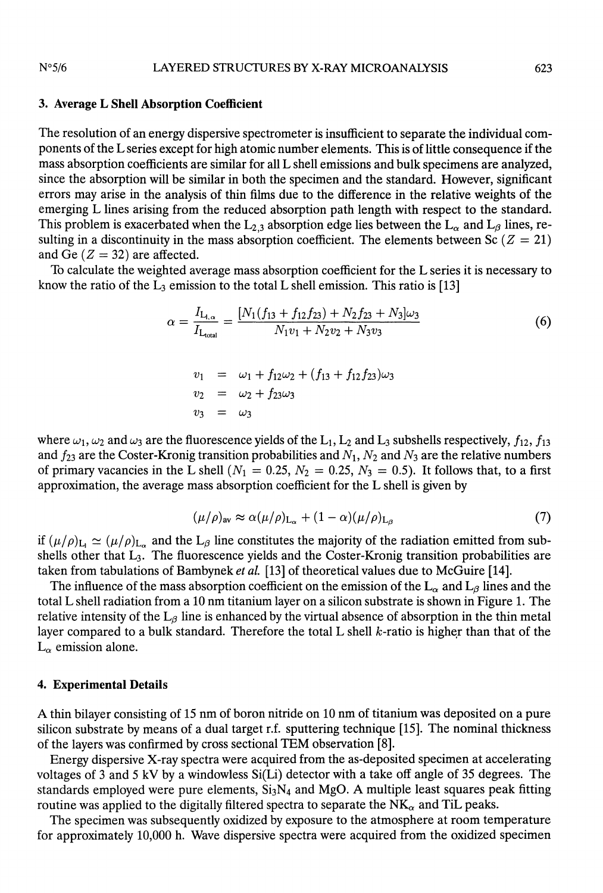#### $N°5/6$ LAYERED STRUCTURES BY X-RAY MICROANALYSIS

#### 3. Average L Shell Absorption Coefficient

The resolution of an energy dispersive spectrometer is insufficient to separate the individual components of the L series except for high atomic number elements. This is of little consequence if the mass absorption coefficients are similar for all L shell emissions and bulk specimens are analyzed, since the absorption will be similar in both the specimen and the standard. However, significant errors may arise in the analysis of thin films due to the difference in the relative weights of the emerging L lines arising from the reduced absorption path length with respect to the standard. This problem is exacerbated when the  $L_{2,3}$  absorption edge lies between the  $L_{\alpha}$  and  $L_{\beta}$  lines, resulting in a discontinuity in the mass absorption coefficient. The elements between Sc ( $Z = 21$ ) and Ge  $(Z = 32)$  are affected.

To calculate the weighted average mass absorption coefficient for the L series it is necessary to know the ratio of the  $L_3$  emission to the total L shell emission. This ratio is [13]

$$
\alpha = \frac{I_{L_{1,\alpha}}}{I_{L_{\text{total}}}} = \frac{[N_1(f_{13} + f_{12}f_{23}) + N_2f_{23} + N_3]\omega_3}{N_1v_1 + N_2v_2 + N_3v_3}
$$
(6)  

$$
v_1 = \omega_1 + f_{12}\omega_2 + (f_{13} + f_{12}f_{23})\omega_3
$$

$$
v_2 = \omega_2 + f_{23}\omega_3
$$

$$
v_3 = \omega_3
$$

where  $\omega_1$ ,  $\omega_2$  and  $\omega_3$  are the fluorescence yields of the L<sub>1</sub>, L<sub>2</sub> and L<sub>3</sub> subshells respectively,  $f_{12}$ ,  $f_{13}$ and  $f_{23}$  are the Coster-Kronig transition probabilities and  $N_1$ ,  $N_2$  and  $N_3$  are the relative numbers of primary vacancies in the L shell ( $N_1 = 0.25$ ,  $N_2 = 0.25$ ,  $N_3 = 0.5$ ). It follows that, to a first approximation, the average mass absorption coefficient for the L shell is given by

$$
(\mu/\rho)_{\text{av}} \approx \alpha(\mu/\rho)_{\text{L}_{\alpha}} + (1-\alpha)(\mu/\rho)_{\text{L}_{\beta}} \tag{7}
$$

if  $(\mu/\rho)_{L_1} \simeq (\mu/\rho)_{L_\alpha}$  and the  $L_\beta$  line constitutes the majority of the radiation emitted from subshells other that  $L_3$ . The fluorescence yields and the Coster-Kronig transition probabilities are taken from tabulations of Bambynek et al. [13] of theoretical values due to McGuire [14].

The influence of the mass absorption coefficient on the emission of the  $L_{\alpha}$  and  $L_{\beta}$  lines and the total L shell radiation from a 10 nm titanium layer on a silicon substrate is shown in Figure 1. The relative intensity of the  $L_\beta$  line is enhanced by the virtual absence of absorption in the thin metal layer compared to a bulk standard. Therefore the total L shell  $k$ -ratio is higher than that of the  $L_{\alpha}$  emission alone.

#### 4. Experimental Details

A thin bilayer consisting of 15 nm of boron nitride on 10 nm of titanium was deposited on a pure silicon substrate by means of a dual target r.f. sputtering technique [15]. The nominal thickness of the layers was confirmed by cross sectional TEM observation [8].

Energy dispersive X-ray spectra were acquired from the as-deposited specimen at accelerating voltages of 3 and 5 kV by a windowless Si(Li) detector with a take off angle of 35 degrees. The standards employed were pure elements,  $Si<sub>3</sub>N<sub>4</sub>$  and MgO. A multiple least squares peak fitting routine was applied to the digitally filtered spectra to separate the  $N_{\alpha}$  and TiL peaks.

The specimen was subsequently oxidized by exposure to the atmosphere at room temperature for approximately 10,000 h. Wave dispersive spectra were acquired from the oxidized specimen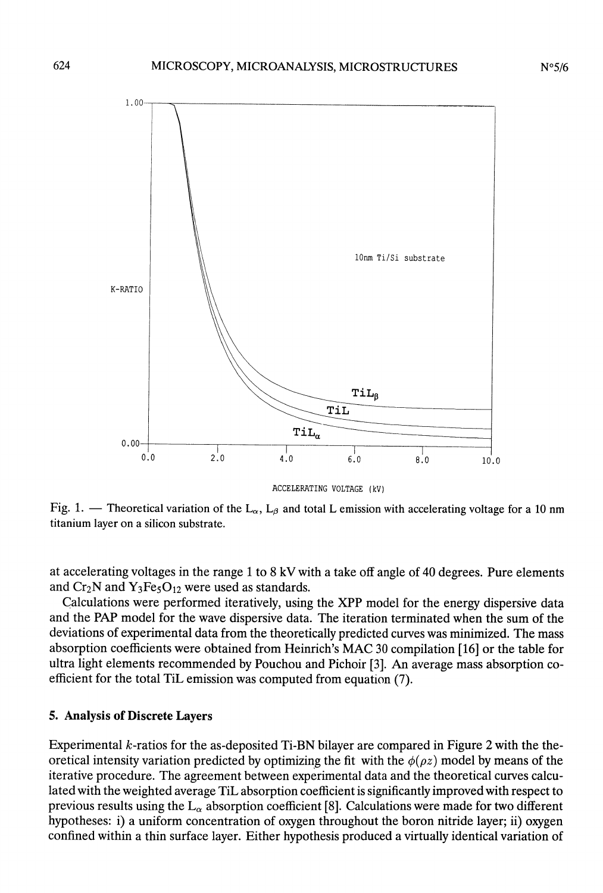

ACCELERATING VOLTAGE (kV)<br>Fig. 1. - Theoretical variation of the L<sub> $\alpha$ </sub>, L<sub> $\beta$ </sub> and total L emission with accelerating voltage for a 10 nm titanium layer on a silicon substrate.

at accelerating voltages in the range 1 to 8 kV with a take off angle of 40 degrees. Pure elements and  $Cr_2N$  and  $Y_3Fe_5O_{12}$  were used as standards.

Calculations were performed iteratively, using the XPP model for the energy dispersive data and the PAP model for the wave dispersive data. The iteration terminated when the sum of the deviations of experimental data from the theoretically predicted curves was minimized. The mass absorption coefficients were obtained from Heinrich's MAC 30 compilation [16] or the table for ultra light elements recommended by Pouchou and Pichoir [3]. An average mass absorption coefficient for the total TiL emission was computed from equation (7).

#### 5. Analysis of Discrete Layers

Experimental k-ratios for the as-deposited Ti-BN bilayer are compared in Figure 2 with the theoretical intensity variation predicted by optimizing the fit with the  $\phi(\rho z)$  model by means of the iterative procedure. The agreement between experimental data and the theoretical curves calculated with the weighted average TiL absorption coefficient is significantly improved with respect to previous results using the  $L_{\alpha}$  absorption coefficient [8]. Calculations were made for two different hypotheses: i) a uniform concentration of oxygen throughout the boron nitride layer; ii) oxygen confined within a thin surface layer. Either hypothesis produced a virtually identical variation of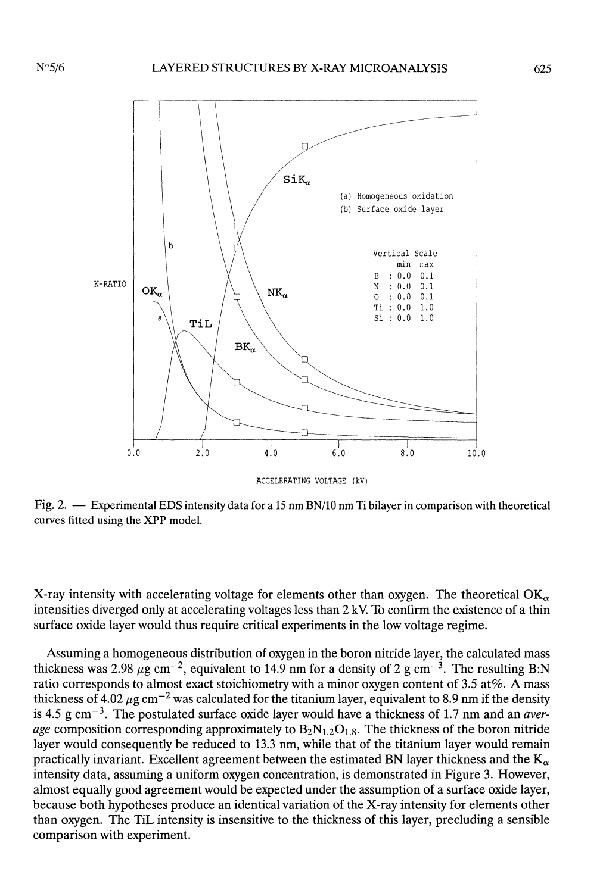

ACCELERATING VOLTAGE (kV)

Fig. 2. - Experimental EDS intensity data for a 15 nm BN/10 nm Ti bilayer in comparison with theoretical curves fitted using the XPP model.

X-ray intensity with accelerating voltage for elements other than oxygen. The theoretical  $OK_{\alpha}$ intensities diverged only at accelerating voltages less than  $2 \text{ kV}$ . To confirm the existence of a thin surface oxide layer would thus require critical experiments in the low voltage regime.

Assuming a homogeneous distribution of oxygen in the boron nitride layer, the calculated mass thickness was 2.98  $\mu$ g cm<sup>-2</sup>, equivalent to 14.9 nm for a density of 2 g cm<sup>-3</sup>. The resulting B:N ratio corresponds to almost exact stoichiometry with a minor oxygen content of 3.5 at%. A mass thickness of 4.02  $\mu$ g cm<sup>-2</sup> was calculated for the titanium layer, equivalent to 8.9 nm if the density is 4.5 g cm<sup>-3</sup>. The postulated surface oxide layer would have a thickness of 1.7 nm and an *aver*age composition corresponding approximately to  $B_2N_{1,2}O_{1,8}$ . The thickness of the boron nitride layer would consequently be reduced to 13.3 nm, while that of the titanium layer would remain practically invariant. Excellent agreement between the estimated BN layer thickness and the  $K_{\alpha}$ intensity data, assuming a uniform oxygen concentration, is demonstrated in Figure 3. However, almost equally good agreement would be expected under the assumption of a surface oxide layer, because both hypotheses produce an identical variation of the X-ray intensity for elements other than oxygen. The TiL intensity is insensitive to the thickness of this layer, precluding a sensible comparison with experiment.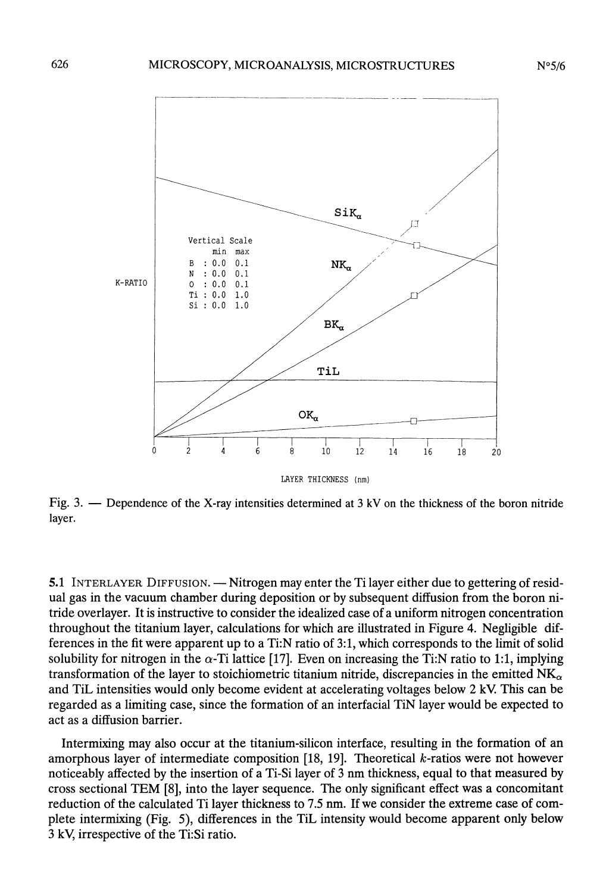

Fig. 3. - Dependence of the X-ray intensities determined at 3 kV on the thickness of the boron nitride layer.

5.1 INTERLAYER DIFFUSION. — Nitrogen may enter the Ti layer either due to gettering of residual gas in the vacuum chamber during deposition or by subsequent diffusion from the boron nitride overlayer. It is instructive to consider the idealized case of a uniform nitrogen concentration throughout the titanium layer, calculations for which are illustrated in Figure 4. Negligible differences in the fit were apparent up to a Ti:N ratio of 3:1, which corresponds to the limit of solid solubility for nitrogen in the  $\alpha$ -Ti lattice [17]. Even on increasing the Ti:N ratio to 1:1, implying transformation of the layer to stoichiometric titanium nitride, discrepancies in the emitted  $NK_{\alpha}$ and TiL intensities would only become evident at accelerating voltages below 2 kV This can be regarded as a limiting case, since the formation of an interfacial TiN layer would be expected to act as a diffusion barrier.

Intermixing may also occur at the titanium-silicon interface, resulting in the formation of an amorphous layer of intermediate composition [18, 19]. Theoretical  $k$ -ratios were not however noticeably affected by the insertion of a Ti-Si layer of 3 nm thickness, equal to that measured by cross sectional TEM [8], into the layer sequence. The only significant effect was a concomitant reduction of the calculated Ti layer thickness to 7.5 nm. If we consider the extreme case of complete intermixing (Fig. 5), differences in the TiL intensity would become apparent only below 3 kV, irrespective of the Ti:Si ratio.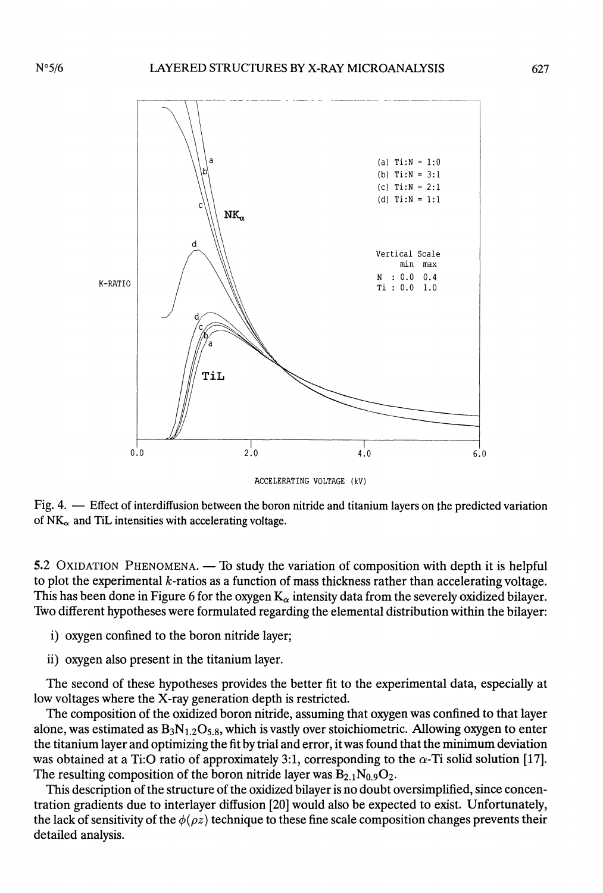

ACCELERATING VOLTAGE (kV)

Fig. 4. - Effect of interdiffusion between the boron nitride and titanium layers on the predicted variation of  $NK_{\alpha}$  and TiL intensities with accelerating voltage.

5.2 OXIDATION PHENOMENA. — To study the variation of composition with depth it is helpful to plot the experimental  $k$ -ratios as a function of mass thickness rather than accelerating voltage. This has been done in Figure 6 for the oxygen  $K_{\alpha}$  intensity data from the severely oxidized bilayer. Two different hypotheses were formulated regarding the elemental distribution within the bilayer:

- i) oxygen confined to the boron nitride layer;
- ii) oxygen also present in the titanium layer.

The second of these hypotheses provides the better fit to the experimental data, especially at low voltages where the X-ray generation depth is restricted.

The composition of the oxidized boron nitride, assuming that oxygen was confined to that layer alone, was estimated as  $B_3N_{1,2}O_{5,8}$ , which is vastly over stoichiometric. Allowing oxygen to enter the titanium layer and optimizing the fit by trial and error, it was found that the minimum deviation was obtained at a Ti:O ratio of approximately 3:1, corresponding to the  $\alpha$ -Ti solid solution [17]. The resulting composition of the boron nitride layer was  $B_{2.1}N_{0.9}O_2$ .

This description of the structure of the oxidized bilayer is no doubt oversimplified, since concentration gradients due to interlayer diffusion [20] would also be expected to exist. Unfortunately, the lack of sensitivity of the  $\phi(\rho z)$  technique to these fine scale composition changes prevents their detailed analysis.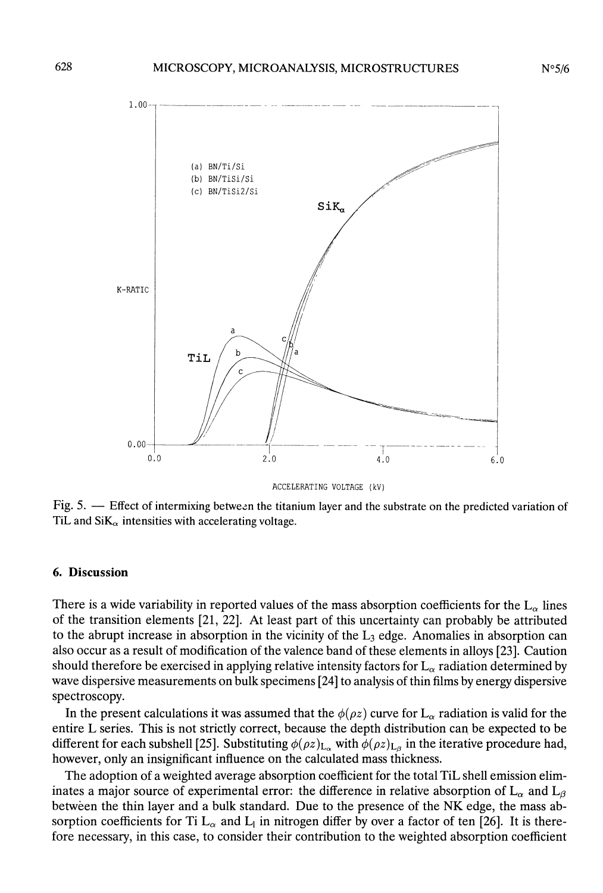

ACCELERATING VOLTAGE (kV)

Fig. 5. - Effect of intermixing between the titanium layer and the substrate on the predicted variation of TiL and  $\text{SiK}_{\alpha}$  intensities with accelerating voltage.

#### 6. Discussion

There is a wide variability in reported values of the mass absorption coefficients for the  $L_{\alpha}$  lines of the transition elements [21, 22]. At least part of this uncertainty can probably be attributed to the abrupt increase in absorption in the vicinity of the  $L_3$  edge. Anomalies in absorption can also occur as a result of modification of the valence band of these elements in alloys [23]. Caution should therefore be exercised in applying relative intensity factors for  $L_{\alpha}$  radiation determined by wave dispersive measurements on bulk specimens [24] to analysis of thin films by energy dispersive spectroscopy.

In the present calculations it was assumed that the  $\phi(\rho z)$  curve for L<sub> $\alpha$ </sub> radiation is valid for the entire L series. This is not strictly correct, because the depth distribution can be expected to be different for each subshell [25]. Substituting  $\phi(\rho z)_{L_{\alpha}}$  with  $\phi(\rho z)_{L_{\beta}}$  in the iterative procedure had, however, only an insignificant influence on the calculated mass thickness.

The adoption of a weighted average absorption coefficient for the total TiL shell emission eliminates a major source of experimental error: the difference in relative absorption of  $L_{\alpha}$  and  $L_{\beta}$ betwèen the thin layer and a bulk standard. Due to the presence of the NK edge, the mass absorption coefficients for Ti  $L_{\alpha}$  and  $L_1$  in nitrogen differ by over a factor of ten [26]. It is therefore necessary, in this case, to consider their contribution to the weighted absorption coefficient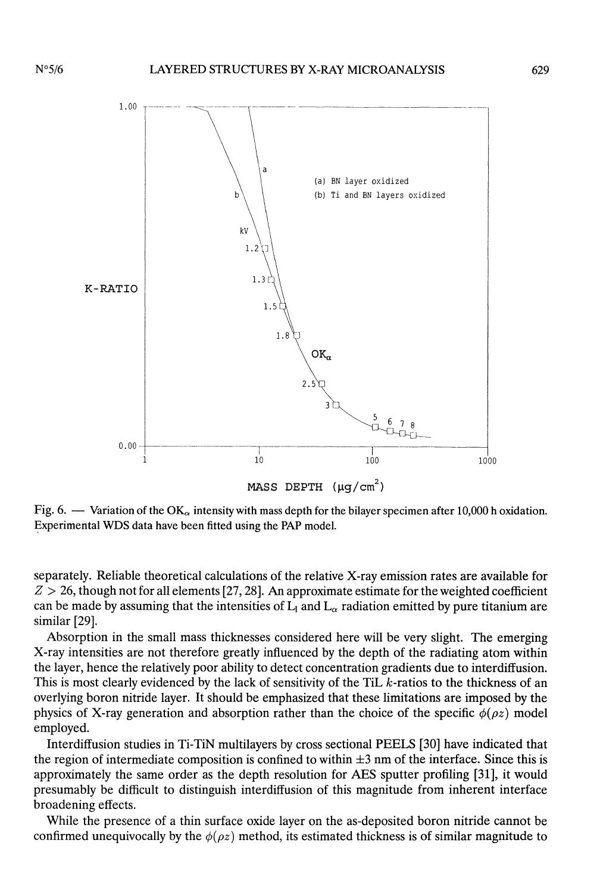

MASS DEPTH  $(\mu q/cm^2)$ 

Fig. 6.  $\sim$  Variation of the OK<sub> $\alpha$ </sub> intensity with mass depth for the bilayer specimen after 10,000 h oxidation. Experimental WDS data have been fitted using the PAP model.

separately. Reliable theoretical calculations of the relative X-ray emission rates are available for  $Z > 26$ , though not for all elements [27, 28]. An approximate estimate for the weighted coefficient can be made by assuming that the intensities of  $L_1$  and  $L_\alpha$  radiation emitted by pure titanium are similar [29].

Absorption in the small mass thicknesses considered here will be very slight. The emerging X-ray intensities are not therefore greatly influenced by the depth of the radiating atom within the layer, hence the relatively poor ability to detect concentration gradients due to interdiffusion. This is most clearly evidenced by the lack of sensitivity of the TiL  $k$ -ratios to the thickness of an overlying boron nitride layer. It should be emphasized that these limitations are imposed by the physics of X-ray generation and absorption rather than the choice of the specific  $\phi(\rho z)$  model employed.

Interdiffusion studies in Ti-TiN multilayers by cross sectional PEELS [30] have indicated that the region of intermediate composition is confined to within  $\pm 3$  nm of the interface. Since this is approximately the same order as the depth resolution for AES sputter profiling [31], it would presumably be difficult to distinguish interdiffusion of this magnitude from inherent interface broadening effects.

While the presence of a thin surface oxide layer on the as-deposited boron nitride cannot be confirmed unequivocally by the  $\phi(\rho z)$  method, its estimated thickness is of similar magnitude to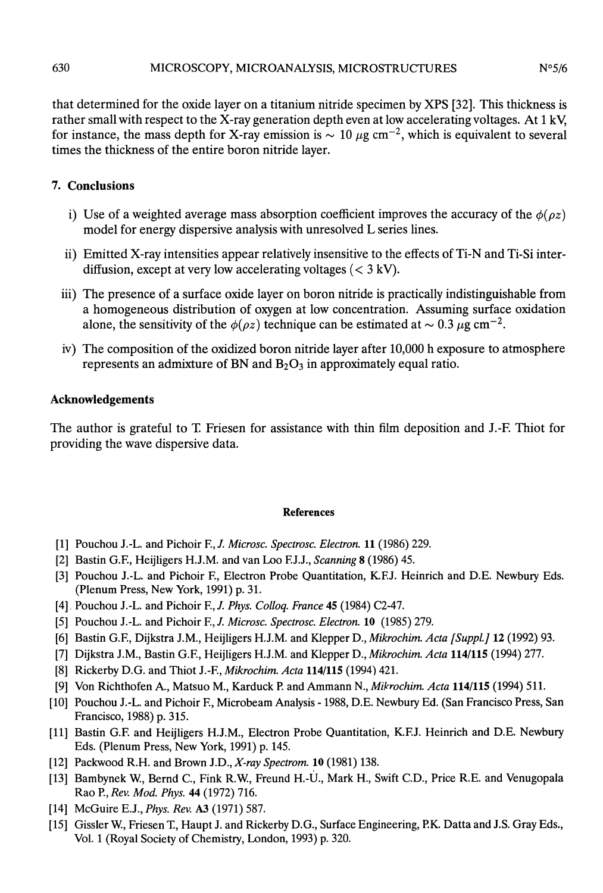$N°5/6$ 

that determined for the oxide layer on a titanium nitride specimen by XPS [32]. This thickness is rather small with respect to the X-ray generation depth even at low accelerating voltages. At 1 kV, for instance, the mass depth for X-ray emission is  $\sim 10 \mu g \text{ cm}^{-2}$ , which is equivalent to several times the thickness of the entire boron nitride layer.

# 7. Conclusions

- i) Use of a weighted average mass absorption coefficient improves the accuracy of the  $\phi(\rho z)$ model for energy dispersive analysis with unresolved L series lines.
- ii) Emitted X-ray intensities appear relatively insensitive to the effects of Ti-N and Ti-Si interdiffusion, except at very low accelerating voltages  $(< 3 \text{ kV})$ .
- iii) The presence of a surface oxide layer on boron nitride is practically indistinguishable from a homogeneous distribution of oxygen at low concentration. Assuming surface oxidation alone, the sensitivity of the  $\phi(\rho z)$  technique can be estimated at  $\sim 0.3 \,\mu$ g cm<sup>-2</sup>.
- iv) The composition of the oxidized boron nitride layer after 10,000 h exposure to atmosphere represents an admixture of BN and  $B_2O_3$  in approximately equal ratio.

## Acknowledgements

The author is grateful to T. Friesen for assistance with thin film deposition and J.-F. Thiot for providing the wave dispersive data.

#### References

- [1] Pouchou J.-L. and Pichoir F., J. Microsc. Spectrosc. Electron. 11 (1986) 229.
- [2] Bastin G.F., Heijligers H.J.M. and van Loo F.J.J., Scanning 8 (1986) 45.
- [3] Pouchou J.-L. and Pichoir F., Electron Probe Quantitation, K.F.J. Heinrich and D.E. Newbury Eds. (Plenum Press, New York, 1991) p. 31.
- [4] Pouchou J.-L. and Pichoir F., J. Phys. Collog. France 45 (1984) C2-47.
- [5] Pouchou J.-L. and Pichoir F., J. Microsc. Spectrosc. Electron. 10 (1985) 279.
- [6] Bastin G.F., Dijkstra J.M., Heijligers H.J.M. and Klepper D., Mikrochim. Acta [Suppl.] 12 (1992) 93.
- [7] Dijkstra J.M., Bastin G.F., Heijligers H.J.M. and Klepper D., Mikrochim. Acta 114/115 (1994) 277.
- [8] Rickerby D.G. and Thiot J.-F., Mikrochim. Acta 114/115 (1994) 421.
- [9] Von Richthofen A., Matsuo M., Karduck P. and Ammann N., Mikrochim. Acta 114/115 (1994) 511.
- [10] Pouchou J.-L. and Pichoir F., Microbeam Analysis -1988, D.E. Newbury Ed. (San Francisco Press, San Francisco, 1988) p. 315.
- [11] Bastin G.F. and Heijligers H.J.M., Electron Probe Quantitation, K.F.J. Heinrich and D.E. Newbury Eds. (Plenum Press, New York, 1991) p. 145.
- [12] Packwood R.H. and Brown J.D., X-ray Spectrom. 10 (1981) 138.
- [13] Bambynek W., Bernd C., Fink R.W, Freund H.-U., Mark H., Swift C.D., Price R.E. and Venugopala Rao P., Rev. Mod. Phys. 44 (1972) 716.
- [14] McGuire E.J., *Phys. Rev.* A3 (1971) 587.
- [15] Gissler W., Friesen T, Haupt J. and Rickerby D.G., Surface Engineering, P.K. Datta and J.S. Gray Eds., Vol. 1 (Royal Society of Chemistry, London, 1993) p. 320.